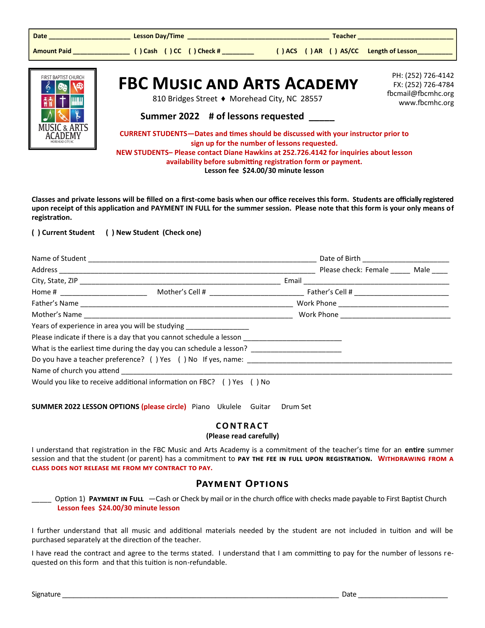| Date ___________________________                                                                                                                                                            |                                                                                   |                                                                                                                                           | <b>Teacher Advisory Communist Street</b>                                         |  |
|---------------------------------------------------------------------------------------------------------------------------------------------------------------------------------------------|-----------------------------------------------------------------------------------|-------------------------------------------------------------------------------------------------------------------------------------------|----------------------------------------------------------------------------------|--|
|                                                                                                                                                                                             |                                                                                   | () ACS () AR () AS/CC Length of Lesson_                                                                                                   |                                                                                  |  |
| <b>FIRST BAPTIST CHURCH</b>                                                                                                                                                                 | <b>FBC MUSIC AND ARTS ACADEMY</b><br>810 Bridges Street ♦ Morehead City, NC 28557 |                                                                                                                                           | PH: (252) 726-4142<br>FX: (252) 726-4784<br>fbcmail@fbcmhc.org<br>www.fbcmhc.org |  |
|                                                                                                                                                                                             | Summer 2022 # of lessons requested _____                                          |                                                                                                                                           |                                                                                  |  |
| <b>MUSIC &amp; ARTS</b>                                                                                                                                                                     |                                                                                   | <b>CURRENT STUDENTS-Dates and times should be discussed with your instructor prior to</b><br>sign up for the number of lessons requested. |                                                                                  |  |
| NEW STUDENTS-Please contact Diane Hawkins at 252.726.4142 for inquiries about lesson<br>availability before submitting registration form or payment.<br>Lesson fee \$24.00/30 minute lesson |                                                                                   |                                                                                                                                           |                                                                                  |  |

**Classes and private lessons will be filled on a first-come basis when our office receives this form. Students are officially registered upon receipt of this application and PAYMENT IN FULL for the summer session. Please note that this form is your only means of registration.**

#### **( ) Current Student ( ) New Student (Check one)**

| Name of Student                    |                                                                                                      |                           |  |
|------------------------------------|------------------------------------------------------------------------------------------------------|---------------------------|--|
|                                    |                                                                                                      | Please check: Female Male |  |
|                                    |                                                                                                      |                           |  |
| Home # ___________________________ |                                                                                                      |                           |  |
|                                    |                                                                                                      |                           |  |
|                                    |                                                                                                      |                           |  |
|                                    | Years of experience in area you will be studying _________________                                   |                           |  |
|                                    | Please indicate if there is a day that you cannot schedule a lesson ________________________________ |                           |  |
|                                    |                                                                                                      |                           |  |
|                                    |                                                                                                      |                           |  |
|                                    |                                                                                                      |                           |  |
|                                    | Would you like to receive additional information on FBC? () Yes () No                                |                           |  |

**SUMMER 2022 LESSON OPTIONS (please circle)** Piano Ukulele Guitar Drum Set

#### **C O N T R A C T**

#### **(Please read carefully)**

I understand that registration in the FBC Music and Arts Academy is a commitment of the teacher's time for an **entire** summer session and that the student (or parent) has a commitment to **pay the fee in full upon registration. Withdrawing from a class does not release me from my contract to pay.** 

#### **Payment Options**

Option 1) **PAYMENT IN FULL** —Cash or Check by mail or in the church office with checks made payable to First Baptist Church **Lesson fees \$24.00/30 minute lesson**

I further understand that all music and additional materials needed by the student are not included in tuition and will be purchased separately at the direction of the teacher.

I have read the contract and agree to the terms stated. I understand that I am committing to pay for the number of lessons requested on this form and that this tuition is non-refundable.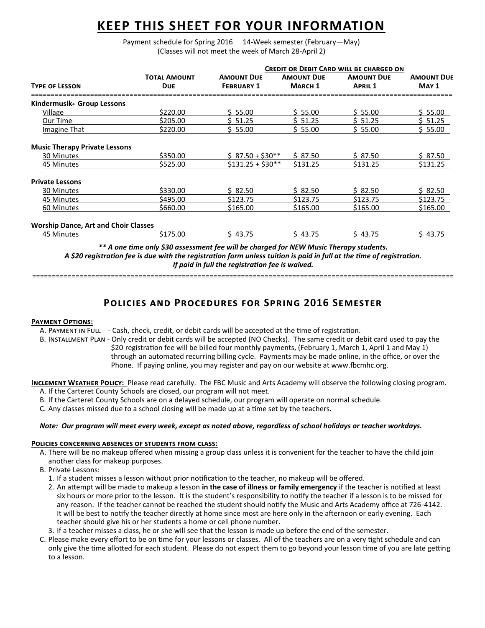### **KEEP THIS SHEET FOR YOUR INFORMATION**

Payment schedule for Spring 2016 14-Week semester (February-May) (Classes will not meet the week of March 28-April 2)

|                                             |                                   | <b>CREDIT OR DEBIT CARD WILL BE CHARGED ON</b> |                                     |                                     |                            |
|---------------------------------------------|-----------------------------------|------------------------------------------------|-------------------------------------|-------------------------------------|----------------------------|
| <b>TYPE OF LESSON</b>                       | <b>TOTAL AMOUNT</b><br><b>DUE</b> | <b>AMOUNT DUE</b><br><b>FEBRUARY 1</b>         | <b>AMOUNT DUE</b><br><b>MARCH 1</b> | <b>AMOUNT DUE</b><br><b>APRIL 1</b> | <b>AMOUNT DUE</b><br>MAY 1 |
| Kindermusik Group Lessons                   |                                   |                                                |                                     |                                     |                            |
| Village                                     | \$220.00                          | \$5.00                                         | \$55.00                             | \$5.00                              | \$5.00                     |
| Our Time                                    | \$205.00                          | \$ 51.25                                       | \$ 51.25                            | \$51.25                             | \$ 51.25                   |
| Imagine That                                | \$220.00                          | \$5.00                                         | \$5.00                              | \$5.00                              | \$5.00                     |
| <b>Music Therapy Private Lessons</b>        |                                   |                                                |                                     |                                     |                            |
| 30 Minutes                                  | \$350.00                          | $$87.50 + $30**$$                              | \$87.50                             | \$87.50                             | \$87.50                    |
| 45 Minutes                                  | \$525.00                          | $$131.25 + $30**$$                             | \$131.25                            | \$131.25                            | \$131.25                   |
| <b>Private Lessons</b>                      |                                   |                                                |                                     |                                     |                            |
| 30 Minutes                                  | \$330.00                          | \$82.50                                        | \$82.50                             | \$82.50                             | \$82.50                    |
| 45 Minutes                                  | \$495.00                          | \$123.75                                       | \$123.75                            | \$123.75                            | \$123.75                   |
| 60 Minutes                                  | \$660.00                          | \$165.00                                       | \$165.00                            | \$165.00                            | \$165.00                   |
| <b>Worship Dance, Art and Choir Classes</b> |                                   |                                                |                                     |                                     |                            |
| 45 Minutes                                  | \$175.00                          | \$43.75                                        | \$43.75                             | \$43.75                             | \$43.75                    |

*\*\* A one time only \$30 assessment fee will be charged for NEW Music Therapy students. A \$20 registration fee is due with the registration form unless tuition is paid in full at the time of registration. If paid in full the registration fee is waived.*

===========================================================================================================

#### **Policies and Procedures for Spring 2016 Semester**

#### **Payment Options:**

A. Payment in Full - Cash, check, credit, or debit cards will be accepted at the time of registration.

B. Installment Plan - Only credit or debit cards will be accepted (NO Checks). The same credit or debit card used to pay the \$20 registration fee will be billed four monthly payments, (February 1, March 1, April 1 and May 1) through an automated recurring billing cycle. Payments may be made online, in the office, or over the Phone. If paying online, you may register and pay on our website at www.fbcmhc.org.

**Inclement Weather Policy:** Please read carefully. The FBC Music and Arts Academy will observe the following closing program. A. If the Carteret County Schools are closed, our program will not meet.

B. If the Carteret County Schools are on a delayed schedule, our program will operate on normal schedule.

C. Any classes missed due to a school closing will be made up at a time set by the teachers.

#### *Note: Our program will meet every week, except as noted above, regardless of school holidays or teacher workdays.*

#### **Policies concerning absences of students from class:**

- A. There will be no makeup offered when missing a group class unless it is convenient for the teacher to have the child join another class for makeup purposes.
- B. Private Lessons:
	- 1. If a student misses a lesson without prior notification to the teacher, no makeup will be offered.
	- 2. An attempt will be made to makeup a lesson **in the case of illness or family emergency** if the teacher is notified at least six hours or more prior to the lesson. It is the student's responsibility to notify the teacher if a lesson is to be missed for any reason. If the teacher cannot be reached the student should notify the Music and Arts Academy office at 726-4142. It will be best to notify the teacher directly at home since most are here only in the afternoon or early evening. Each teacher should give his or her students a home or cell phone number.
- 3. If a teacher misses a class, he or she will see that the lesson is made up before the end of the semester.
- C. Please make every effort to be on time for your lessons or classes. All of the teachers are on a very tight schedule and can only give the time allotted for each student. Please do not expect them to go beyond your lesson time of you are late getting to a lesson.